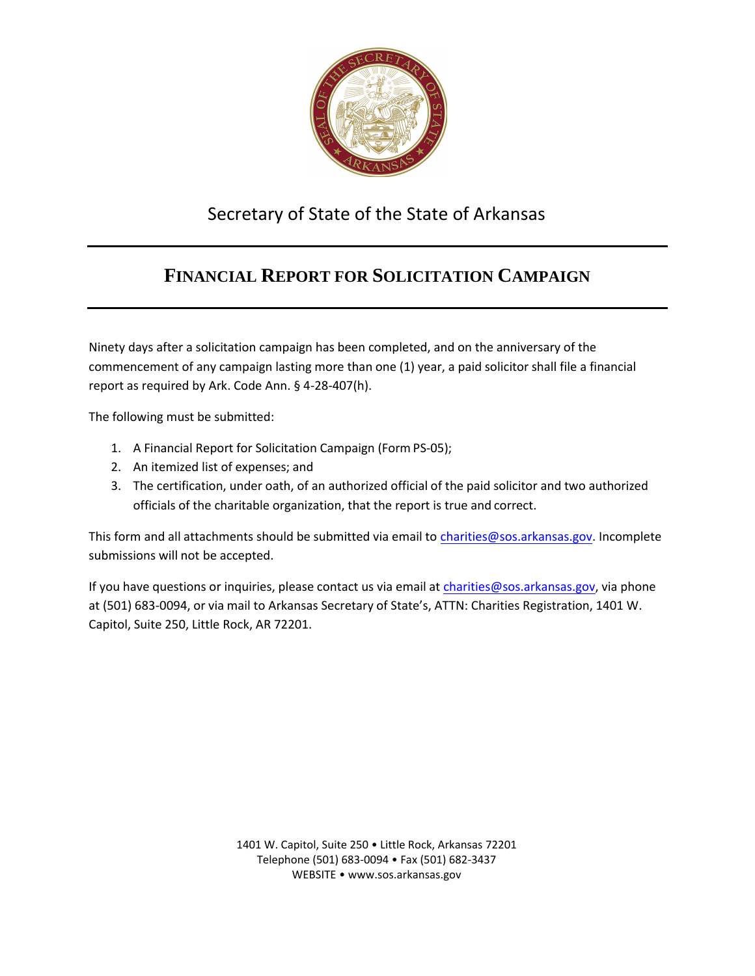

## Secretary of State of the State of Arkansas

## **FINANCIAL REPORT FOR SOLICITATION CAMPAIGN**

Ninety days after a solicitation campaign has been completed, and on the anniversary of the commencement of any campaign lasting more than one (1) year, a paid solicitor shall file a financial report as required by Ark. Code Ann. § 4-28-407(h).

The following must be submitted:

- 1. A Financial Report for Solicitation Campaign (Form PS-05);
- 2. An itemized list of expenses; and
- 3. The certification, under oath, of an authorized official of the paid solicitor and two authorized officials of the charitable organization, that the report is true and correct.

This form and all attachments should be submitted via email to [charities@sos.arkansas.gov](mailto:Charities@sos.arkansas.gov). Incomplete submissions will not be accepted.

If you have questions or inquiries, please contact us via email at [charities@sos.arkansas.gov](mailto:Charities@sos.arkansas.gov), via phone at (501) 683-0094, or via mail to Arkansas Secretary of State's, ATTN: Charities Registration, 1401 W. Capitol, Suite 250, Little Rock, AR 72201.

> 1401 W. Capitol, Suite 250 • Little Rock, Arkansas 72201 Telephone (501) 683-0094 • Fax (501) 682-3437 WEBSITE • [www.sos.arkansas.gov](http://www.sos.arkansas.gov/)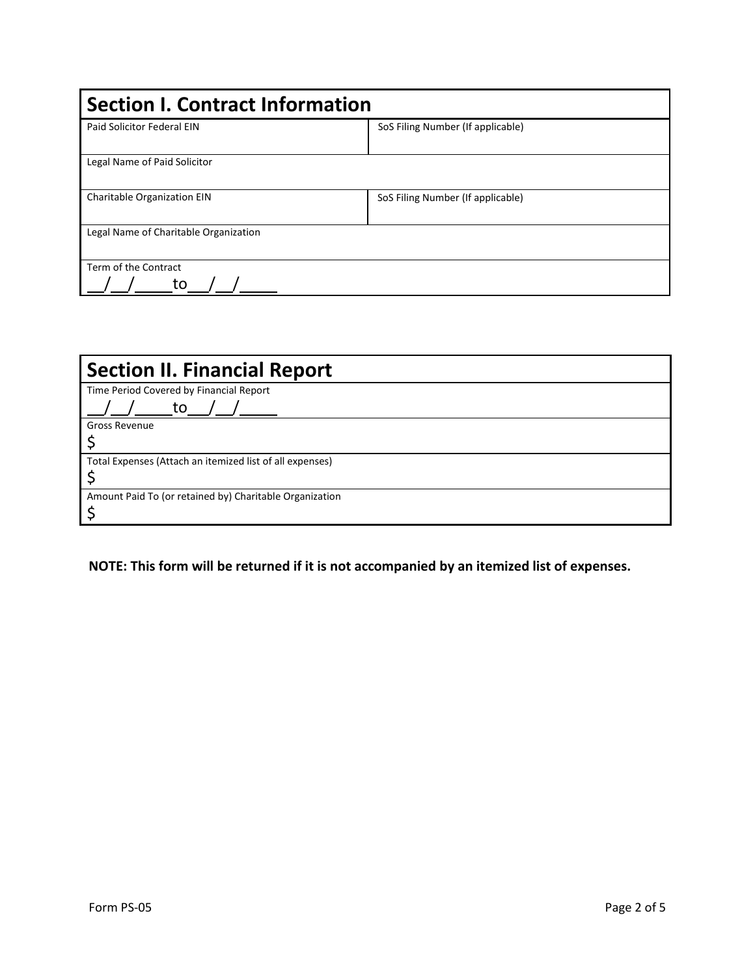| <b>Section I. Contract Information</b> |                                   |  |  |  |
|----------------------------------------|-----------------------------------|--|--|--|
| Paid Solicitor Federal EIN             | SoS Filing Number (If applicable) |  |  |  |
| Legal Name of Paid Solicitor           |                                   |  |  |  |
| Charitable Organization EIN            | SoS Filing Number (If applicable) |  |  |  |
| Legal Name of Charitable Organization  |                                   |  |  |  |
| Term of the Contract<br>to             |                                   |  |  |  |

| <b>Section II. Financial Report</b>                      |
|----------------------------------------------------------|
| Time Period Covered by Financial Report                  |
| to                                                       |
| <b>Gross Revenue</b>                                     |
|                                                          |
| Total Expenses (Attach an itemized list of all expenses) |
|                                                          |
| Amount Paid To (or retained by) Charitable Organization  |
|                                                          |

**NOTE: This form will be returned if it is not accompanied by an itemized list of expenses.**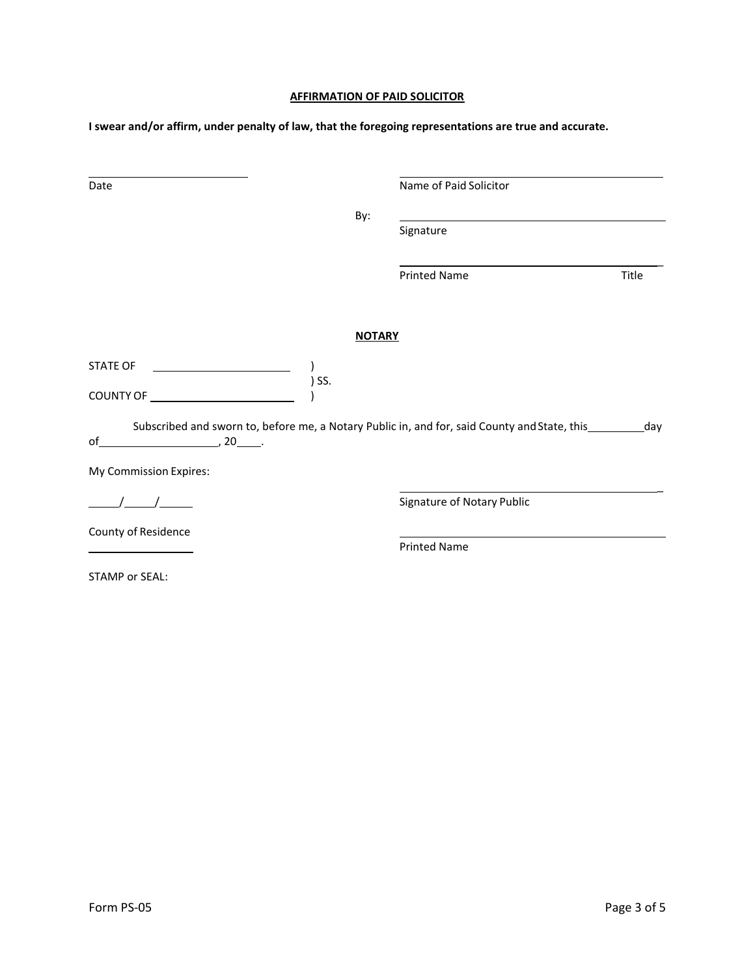## **AFFIRMATION OF PAID SOLICITOR**

**I swear and/or affirm, under penalty of law, that the foregoing representations are true and accurate.**

|                        | By:           |                                                                                                             |       |
|------------------------|---------------|-------------------------------------------------------------------------------------------------------------|-------|
|                        |               | Signature                                                                                                   |       |
|                        |               | <b>Printed Name</b>                                                                                         | Title |
|                        | <b>NOTARY</b> |                                                                                                             |       |
| <b>STATE OF</b>        |               |                                                                                                             |       |
| ) SS.                  |               |                                                                                                             |       |
| $\sim$ 20 $\sim$<br>of |               | Subscribed and sworn to, before me, a Notary Public in, and for, said County and State, this ___________day |       |
| My Commission Expires: |               |                                                                                                             |       |
|                        |               | Signature of Notary Public                                                                                  |       |
| County of Residence    |               |                                                                                                             |       |
|                        |               | <b>Printed Name</b>                                                                                         |       |
| <b>STAMP or SEAL:</b>  |               |                                                                                                             |       |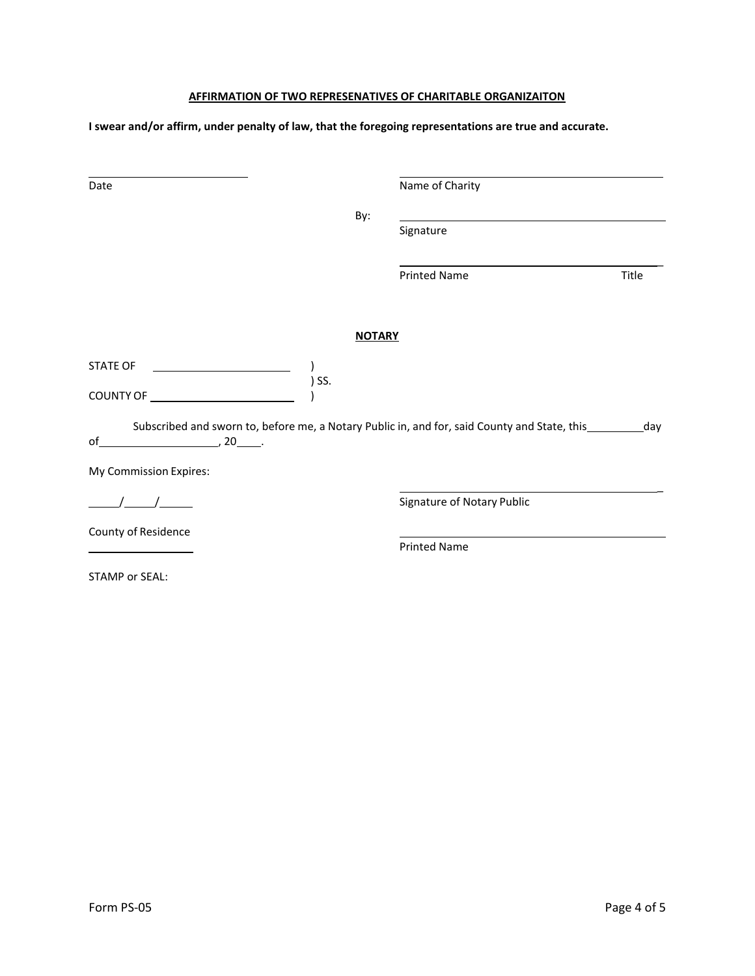## **AFFIRMATION OF TWO REPRESENATIVES OF CHARITABLE ORGANIZAITON**

**I swear and/or affirm, under penalty of law, that the foregoing representations are true and accurate.**

| Date                                                                                                                                                                       |               | Name of Charity            |       |
|----------------------------------------------------------------------------------------------------------------------------------------------------------------------------|---------------|----------------------------|-------|
|                                                                                                                                                                            |               |                            |       |
|                                                                                                                                                                            | By:           |                            |       |
|                                                                                                                                                                            |               | Signature                  |       |
|                                                                                                                                                                            |               |                            |       |
|                                                                                                                                                                            |               | <b>Printed Name</b>        | Title |
|                                                                                                                                                                            |               |                            |       |
|                                                                                                                                                                            | <b>NOTARY</b> |                            |       |
|                                                                                                                                                                            |               |                            |       |
| STATE OF                                                                                                                                                                   |               |                            |       |
| ) SS.                                                                                                                                                                      |               |                            |       |
|                                                                                                                                                                            |               |                            |       |
| Subscribed and sworn to, before me, a Notary Public in, and for, said County and State, this ___________day<br>of $\overline{\phantom{a}}$ , 20 $\overline{\phantom{a}}$ . |               |                            |       |
|                                                                                                                                                                            |               |                            |       |
| My Commission Expires:                                                                                                                                                     |               |                            |       |
|                                                                                                                                                                            |               | Signature of Notary Public |       |
| County of Residence                                                                                                                                                        |               |                            |       |
|                                                                                                                                                                            |               | <b>Printed Name</b>        |       |
| <b>STAMP or SEAL:</b>                                                                                                                                                      |               |                            |       |